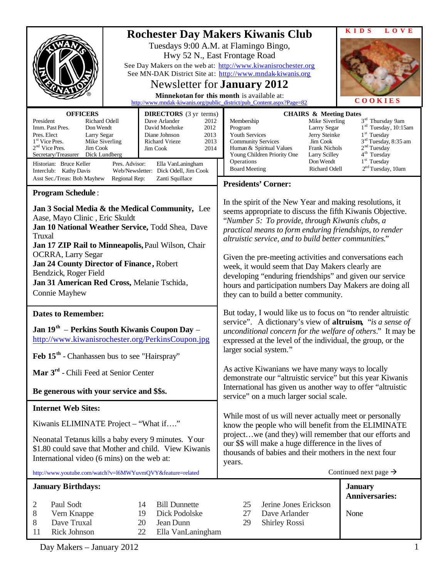|                                                                                                                                                                                                                                                                                                                                                                                                                                                                                                                                   | <b>KIDS</b><br>LOVE<br><b>Rochester Day Makers Kiwanis Club</b><br>Tuesdays 9:00 A.M. at Flamingo Bingo,<br>Hwy 52 N., East Frontage Road<br>See Day Makers on the web at: http://www.kiwanisrochester.org<br>See MN-DAK District Site at: http://www.mndak-kiwanis.org<br>Newsletter for <b>January 2012</b><br>Minnekotan for this month is available at:<br>COOKIES<br>http://www.mndak-kiwanis.org/public_district/pub_Content.aspx?Page=82                                                                                                                            |
|-----------------------------------------------------------------------------------------------------------------------------------------------------------------------------------------------------------------------------------------------------------------------------------------------------------------------------------------------------------------------------------------------------------------------------------------------------------------------------------------------------------------------------------|----------------------------------------------------------------------------------------------------------------------------------------------------------------------------------------------------------------------------------------------------------------------------------------------------------------------------------------------------------------------------------------------------------------------------------------------------------------------------------------------------------------------------------------------------------------------------|
| <b>OFFICERS</b><br><b>DIRECTORS</b> (3 yr terms)<br>Richard Odell<br>Dave Arlander<br>President<br>2012<br>2012<br>Imm. Past Pres.<br>Don Wendt<br>David Moehnke<br>Pres. Elect<br>Larry Segar<br>Diane Johnson<br>2013<br>1 <sup>st</sup> Vice Pres.<br>Mike Siverling<br>2013<br>Richard Vrieze<br>$2nd$ Vice Pres.<br>Jim Cook<br>Jim Cook<br>2014<br>Dick Lundberg<br>Secretary/Treasurer<br>Historian: Bruce Keller<br>Pres. Advisor:<br>Ella VanLaningham<br>Interclub: Kathy Davis<br>Web/Newsletter: Dick Odell, Jim Cook | <b>CHAIRS &amp; Meeting Dates</b><br>3 <sup>rd</sup> Thursday 9am<br>Mike Siverling<br>Membership<br>$1rd$ Tuesday, 10:15am<br>Program<br>Larrry Segar<br>1 <sup>st</sup> Tuesday<br><b>Youth Services</b><br>Jerry Steinke<br>3 <sup>rd</sup> Tuesday, 8:35 am<br><b>Community Services</b><br>Jim Cook<br>2 <sup>nd</sup> Tuesday<br>Human & Spiritual Values<br>Frank Nichols<br>4 <sup>th</sup> Tuesday<br>Young Children Priority One<br>Larry Scilley<br>Operations<br>$1st$ Tuesday<br>Don Wendt<br>$2nd Tuesday, 10am$<br><b>Board Meeting</b><br>Richard Odell    |
| Asst Sec./Treas: Bob Mayhew<br>Zanti Squillace<br>Regional Rep:                                                                                                                                                                                                                                                                                                                                                                                                                                                                   | <b>Presidents' Corner:</b>                                                                                                                                                                                                                                                                                                                                                                                                                                                                                                                                                 |
| <b>Program Schedule:</b><br>Jan 3 Social Media & the Medical Community, Lee<br>Aase, Mayo Clinic, Eric Skuldt<br>Jan 10 National Weather Service, Todd Shea, Dave<br>Truxal<br>Jan 17 ZIP Rail to Minneapolis, Paul Wilson, Chair<br><b>OCRRA, Larry Segar</b><br>Jan 24 County Director of Finance, Robert<br>Bendzick, Roger Field<br>Jan 31 American Red Cross, Melanie Tschida,<br><b>Connie Mayhew</b>                                                                                                                       | In the spirit of the New Year and making resolutions, it<br>seems appropriate to discuss the fifth Kiwanis Objective.<br>"Number 5: To provide, through Kiwanis clubs, a<br>practical means to form enduring friendships, to render<br>altruistic service, and to build better communities."<br>Given the pre-meeting activities and conversations each<br>week, it would seem that Day Makers clearly are<br>developing "enduring friendships" and given our service<br>hours and participation numbers Day Makers are doing all<br>they can to build a better community. |
| <b>Dates to Remember:</b><br>Jan $19th$ – Perkins South Kiwanis Coupon Day –<br>http://www.kiwanisrochester.org/PerkinsCoupon.jpg<br>Feb 15 <sup>th</sup> - Chanhassen bus to see "Hairspray"                                                                                                                                                                                                                                                                                                                                     | But today, I would like us to focus on "to render altruistic<br>service". A dictionary's view of <b>altruism</b> , "is a sense of<br>unconditional concern for the welfare of others." It may be<br>expressed at the level of the individual, the group, or the<br>larger social system."                                                                                                                                                                                                                                                                                  |
| Mar 3 <sup>rd</sup> - Chili Feed at Senior Center                                                                                                                                                                                                                                                                                                                                                                                                                                                                                 | As active Kiwanians we have many ways to locally<br>demonstrate our "altruistic service" but this year Kiwanis                                                                                                                                                                                                                                                                                                                                                                                                                                                             |
| Be generous with your service and \$\$s.                                                                                                                                                                                                                                                                                                                                                                                                                                                                                          | International has given us another way to offer "altruistic<br>service" on a much larger social scale.                                                                                                                                                                                                                                                                                                                                                                                                                                                                     |
| <b>Internet Web Sites:</b>                                                                                                                                                                                                                                                                                                                                                                                                                                                                                                        | While most of us will never actually meet or personally                                                                                                                                                                                                                                                                                                                                                                                                                                                                                                                    |
| Kiwanis ELIMINATE Project - "What if"<br>Neonatal Tetanus kills a baby every 9 minutes. Your<br>\$1.80 could save that Mother and child. View Kiwanis<br>International video (6 mins) on the web at:<br>http://www.youtube.com/watch?v=l6MWYuvmOVY&feature=related                                                                                                                                                                                                                                                                | know the people who will benefit from the ELIMINATE<br>projectwe (and they) will remember that our efforts and<br>our \$\$ will make a huge difference in the lives of<br>thousands of babies and their mothers in the next four<br>years.<br>Continued next page $\rightarrow$                                                                                                                                                                                                                                                                                            |
|                                                                                                                                                                                                                                                                                                                                                                                                                                                                                                                                   |                                                                                                                                                                                                                                                                                                                                                                                                                                                                                                                                                                            |
| <b>January Birthdays:</b><br>Paul Sodt<br><b>Bill Dunnette</b><br>2<br>14<br>Dick Podolske<br>8<br>Vern Knappe<br>19<br>Dave Truxal<br>8<br>20<br>Jean Dunn<br>Rick Johnson<br>Ella VanLaningham<br>11<br>22                                                                                                                                                                                                                                                                                                                      | <b>January</b><br><b>Anniversaries:</b><br>25<br>Jerine Jones Erickson<br>27<br>Dave Arlander<br>None<br>29<br><b>Shirley Rossi</b>                                                                                                                                                                                                                                                                                                                                                                                                                                        |

Day Makers – January 2012 1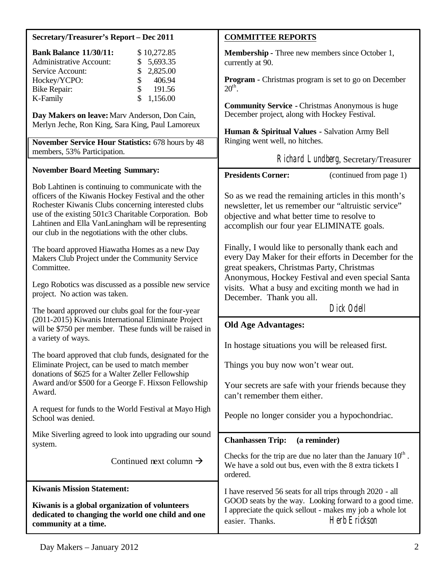| Secretary/Treasurer's Report - Dec 2011                                                                                                                                                                                                                                                                                                  | <b>COMMITTEE REPORTS</b>                                                                                                                                                                                       |
|------------------------------------------------------------------------------------------------------------------------------------------------------------------------------------------------------------------------------------------------------------------------------------------------------------------------------------------|----------------------------------------------------------------------------------------------------------------------------------------------------------------------------------------------------------------|
| <b>Bank Balance 11/30/11:</b><br>\$10,272.85<br><b>Administrative Account:</b><br>5,693.35                                                                                                                                                                                                                                               | <b>Membership - Three new members since October 1,</b><br>currently at 90.                                                                                                                                     |
| Service Account:<br>2,825.00<br>\$<br>Hockey/YCPO:<br>406.94<br>\$<br>\$<br>191.56<br><b>Bike Repair:</b>                                                                                                                                                                                                                                | <b>Program - Christmas program is set to go on December</b><br>$20^{\text{th}}$ .                                                                                                                              |
| \$<br>1,156.00<br>K-Family<br>Day Makers on leave: Marv Anderson, Don Cain,<br>Merlyn Jeche, Ron King, Sara King, Paul Lamoreux                                                                                                                                                                                                          | <b>Community Service - Christmas Anonymous is huge</b><br>December project, along with Hockey Festival.<br>Human & Spiritual Values - Salvation Army Bell                                                      |
| November Service Hour Statistics: 678 hours by 48<br>members, 53% Participation.                                                                                                                                                                                                                                                         | Ringing went well, no hitches.<br>Richard Lundberg, Secretary/Treasurer                                                                                                                                        |
| <b>November Board Meeting Summary:</b>                                                                                                                                                                                                                                                                                                   | <b>Presidents Corner:</b><br>(continued from page 1)                                                                                                                                                           |
| Bob Lahtinen is continuing to communicate with the<br>officers of the Kiwanis Hockey Festival and the other<br>Rochester Kiwanis Clubs concerning interested clubs<br>use of the existing 501c3 Charitable Corporation. Bob<br>Lahtinen and Ella VanLaningham will be representing<br>our club in the negotiations with the other clubs. | So as we read the remaining articles in this month's<br>newsletter, let us remember our "altruistic service"<br>objective and what better time to resolve to<br>accomplish our four year ELIMINATE goals.      |
| The board approved Hiawatha Homes as a new Day<br>Makers Club Project under the Community Service<br>Committee.                                                                                                                                                                                                                          | Finally, I would like to personally thank each and<br>every Day Maker for their efforts in December for the<br>great speakers, Christmas Party, Christmas<br>Anonymous, Hockey Festival and even special Santa |
| Lego Robotics was discussed as a possible new service<br>project. No action was taken.                                                                                                                                                                                                                                                   | visits. What a busy and exciting month we had in<br>December. Thank you all.                                                                                                                                   |
| The board approved our clubs goal for the four-year                                                                                                                                                                                                                                                                                      | Dick Odell                                                                                                                                                                                                     |
| (2011-2015) Kiwanis International Eliminate Project<br>will be \$750 per member. These funds will be raised in<br>a variety of ways.                                                                                                                                                                                                     | <b>Old Age Advantages:</b><br>In hostage situations you will be released first.                                                                                                                                |
| The board approved that club funds, designated for the<br>Eliminate Project, can be used to match member<br>donations of \$625 for a Walter Zeller Fellowship                                                                                                                                                                            | Things you buy now won't wear out.                                                                                                                                                                             |
| Award and/or \$500 for a George F. Hixson Fellowship<br>Award.                                                                                                                                                                                                                                                                           | Your secrets are safe with your friends because they<br>can't remember them either.                                                                                                                            |
| A request for funds to the World Festival at Mayo High<br>School was denied.                                                                                                                                                                                                                                                             | People no longer consider you a hypochondriac.                                                                                                                                                                 |
| Mike Siverling agreed to look into upgrading our sound<br>system.                                                                                                                                                                                                                                                                        | <b>Chanhassen Trip:</b><br>(a reminder)                                                                                                                                                                        |
| Continued next column $\rightarrow$                                                                                                                                                                                                                                                                                                      | Checks for the trip are due no later than the January $10th$ .<br>We have a sold out bus, even with the 8 extra tickets I<br>ordered.                                                                          |
| <b>Kiwanis Mission Statement:</b>                                                                                                                                                                                                                                                                                                        | I have reserved 56 seats for all trips through 2020 - all                                                                                                                                                      |
| Kiwanis is a global organization of volunteers<br>dedicated to changing the world one child and one<br>community at a time.                                                                                                                                                                                                              | GOOD seats by the way. Looking forward to a good time.<br>I appreciate the quick sellout - makes my job a whole lot<br>Herb Erickson<br>easier. Thanks.                                                        |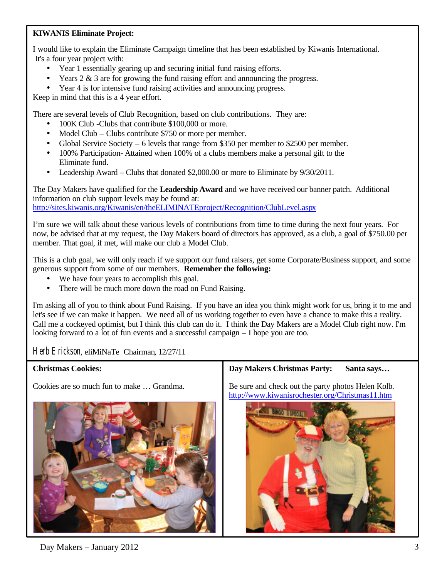### **KIWANIS Eliminate Project:**

I would like to explain the Eliminate Campaign timeline that has been established by Kiwanis International. It's a four year project with:

- Year 1 essentially gearing up and securing initial fund raising efforts.
- Years 2 & 3 are for growing the fund raising effort and announcing the progress.
- Year 4 is for intensive fund raising activities and announcing progress.

Keep in mind that this is a 4 year effort.

There are several levels of Club Recognition, based on club contributions. They are:

- 100K Club -Clubs that contribute \$100,000 or more.
- Model Club Clubs contribute \$750 or more per member.
- Global Service Society 6 levels that range from \$350 per member to \$2500 per member.
- 100% Participation- Attained when 100% of a clubs members make a personal gift to the Eliminate fund.
- Leadership Award Clubs that donated \$2,000.00 or more to Eliminate by 9/30/2011.

The Day Makers have qualified for the **Leadership Award** and we have received our banner patch. Additional information on club support levels may be found at: <http://sites.kiwanis.org/Kiwanis/en/theELIMINATEproject/Recognition/ClubLevel.aspx>

I'm sure we will talk about these various levels of contributions from time to time during the next four years. For now, be advised that at my request, the Day Makers board of directors has approved, as a club, a goal of \$750.00 per member. That goal, if met, will make our club a Model Club.

This is a club goal, we will only reach if we support our fund raisers, get some Corporate/Business support, and some generous support from some of our members. **Remember the following:**

- We have four years to accomplish this goal.
- There will be much more down the road on Fund Raising.

I'm asking all of you to think about Fund Raising. If you have an idea you think might work for us, bring it to me and let's see if we can make it happen. We need all of us working together to even have a chance to make this a reality. Call me a cockeyed optimist, but I think this club can do it. I think the Day Makers are a Model Club right now. I'm looking forward to a lot of fun events and a successful campaign – I hope you are too.

Herb Erickson, eliMiNaTe Chairman, 12/27/11

#### **Christmas Cookies:**

Cookies are so much fun to make … Grandma.



**Day Makers Christmas Party: Santa says…**

Be sure and check out the party photos Helen Kolb. <http://www.kiwanisrochester.org/Christmas11.htm>



 $Day$  Makers – January 2012  $\frac{3}{3}$